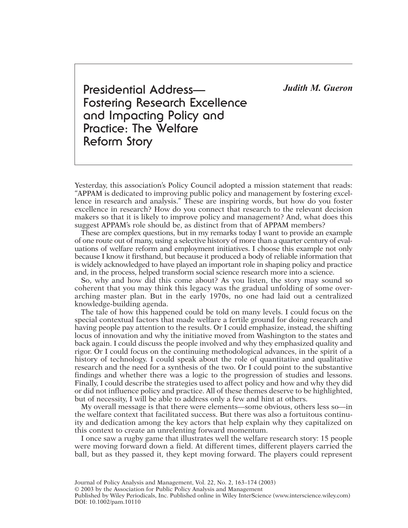**Presidential Address—** *Judith M. Gueron* **Fostering Research Excellence and Impacting Policy and Practice: The Welfare Reform Story**

Yesterday, this association's Policy Council adopted a mission statement that reads: "APPAM is dedicated to improving public policy and management by fostering excellence in research and analysis." These are inspiring words, but how do you foster excellence in research? How do you connect that research to the relevant decision makers so that it is likely to improve policy and management? And, what does this suggest APPAM's role should be, as distinct from that of APPAM members?

These are complex questions, but in my remarks today I want to provide an example of one route out of many, using a selective history of more than a quarter century of evaluations of welfare reform and employment initiatives. I choose this example not only because I know it firsthand, but because it produced a body of reliable information that is widely acknowledged to have played an important role in shaping policy and practice and, in the process, helped transform social science research more into a science.

So, why and how did this come about? As you listen, the story may sound so coherent that you may think this legacy was the gradual unfolding of some overarching master plan. But in the early 1970s, no one had laid out a centralized knowledge-building agenda.

The tale of how this happened could be told on many levels. I could focus on the special contextual factors that made welfare a fertile ground for doing research and having people pay attention to the results. Or I could emphasize, instead, the shifting locus of innovation and why the initiative moved from Washington to the states and back again. I could discuss the people involved and why they emphasized quality and rigor. Or I could focus on the continuing methodological advances, in the spirit of a history of technology. I could speak about the role of quantitative and qualitative research and the need for a synthesis of the two. Or I could point to the substantive findings and whether there was a logic to the progression of studies and lessons. Finally, I could describe the strategies used to affect policy and how and why they did or did not influence policy and practice. All of these themes deserve to be highlighted, but of necessity, I will be able to address only a few and hint at others.

My overall message is that there were elements—some obvious, others less so—in the welfare context that facilitated success. But there was also a fortuitous continuity and dedication among the key actors that help explain why they capitalized on this context to create an unrelenting forward momentum.

I once saw a rugby game that illustrates well the welfare research story: 15 people were moving forward down a field. At different times, different players carried the ball, but as they passed it, they kept moving forward. The players could represent

Published by Wiley Periodicals, Inc. Published online in Wiley InterScience (www.interscience.wiley.com) DOI: 10.1002/pam.10110

Journal of Policy Analysis and Management, Vol. 22, No. 2, 163–174 (2003)

<sup>© 2003</sup> by the Association for Public Policy Analysis and Management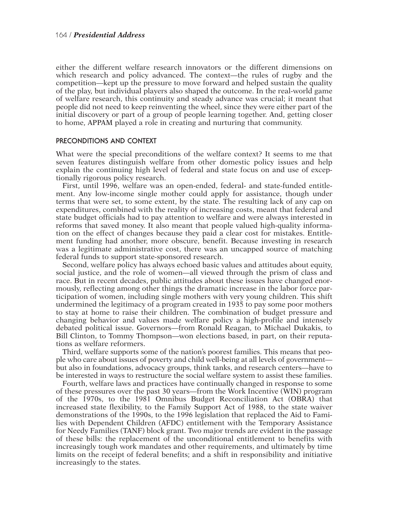either the different welfare research innovators or the different dimensions on which research and policy advanced. The context—the rules of rugby and the competition—kept up the pressure to move forward and helped sustain the quality of the play, but individual players also shaped the outcome. In the real-world game of welfare research, this continuity and steady advance was crucial; it meant that people did not need to keep reinventing the wheel, since they were either part of the initial discovery or part of a group of people learning together. And, getting closer to home, APPAM played a role in creating and nurturing that community.

### **PRECONDITIONS AND CONTEXT**

What were the special preconditions of the welfare context? It seems to me that seven features distinguish welfare from other domestic policy issues and help explain the continuing high level of federal and state focus on and use of exceptionally rigorous policy research.

First, until 1996, welfare was an open-ended, federal- and state-funded entitlement. Any low-income single mother could apply for assistance, though under terms that were set, to some extent, by the state. The resulting lack of any cap on expenditures, combined with the reality of increasing costs, meant that federal and state budget officials had to pay attention to welfare and were always interested in reforms that saved money. It also meant that people valued high-quality information on the effect of changes because they paid a clear cost for mistakes. Entitlement funding had another, more obscure, benefit. Because investing in research was a legitimate administrative cost, there was an uncapped source of matching federal funds to support state-sponsored research.

Second, welfare policy has always echoed basic values and attitudes about equity, social justice, and the role of women—all viewed through the prism of class and race. But in recent decades, public attitudes about these issues have changed enormously, reflecting among other things the dramatic increase in the labor force participation of women, including single mothers with very young children. This shift undermined the legitimacy of a program created in 1935 to pay some poor mothers to stay at home to raise their children. The combination of budget pressure and changing behavior and values made welfare policy a high-profile and intensely debated political issue. Governors—from Ronald Reagan, to Michael Dukakis, to Bill Clinton, to Tommy Thompson—won elections based, in part, on their reputations as welfare reformers.

Third, welfare supports some of the nation's poorest families. This means that people who care about issues of poverty and child well-being at all levels of government but also in foundations, advocacy groups, think tanks, and research centers—have to be interested in ways to restructure the social welfare system to assist these families.

Fourth, welfare laws and practices have continually changed in response to some of these pressures over the past 30 years—from the Work Incentive (WIN) program of the 1970s, to the 1981 Omnibus Budget Reconciliation Act (OBRA) that increased state flexibility, to the Family Support Act of 1988, to the state waiver demonstrations of the 1990s, to the 1996 legislation that replaced the Aid to Families with Dependent Children (AFDC) entitlement with the Temporary Assistance for Needy Families (TANF) block grant. Two major trends are evident in the passage of these bills: the replacement of the unconditional entitlement to benefits with increasingly tough work mandates and other requirements, and ultimately by time limits on the receipt of federal benefits; and a shift in responsibility and initiative increasingly to the states.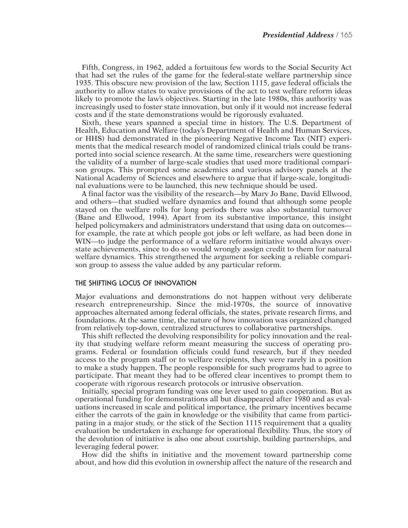Fifth, Congress, in 1962, added a fortuitous few words to the Social Security Act that had set the rules of the game for the federal-state welfare partnership since 1935. This obscure new provision of the law, Section 1115, gave federal officials the authority to allow states to waive provisions of the act to test welfare reform ideas likely to promote the law's objectives. Starting in the late 1980s, this authority was increasingly used to foster state innovation, but only if it would not increase federal costs and if the state demonstrations would be rigorously evaluated.

Sixth, these years spanned a special time in history. The U.S. Department of Health, Education and Welfare (today's Department of Health and Human Services, or HHS) had demonstrated in the pioneering Negative Income Tax (NIT) experiments that the medical research model of randomized clinical trials could be transported into social science research. At the same time, researchers were questioning the validity of a number of large-scale studies that used more traditional comparison groups. This prompted some academics and various advisory panels at the National Academy of Sciences and elsewhere to argue that if large-scale, longitudinal evaluations were to be launched, this new technique should be used.

A final factor was the visibility of the research—by Mary Jo Bane, David Ellwood, and others—that studied welfare dynamics and found that although some people stayed on the welfare rolls for long periods there was also substantial turnover (Bane and Ellwood, 1994). Apart from its substantive importance, this insight helped policymakers and administrators understand that using data on outcomes for example, the rate at which people got jobs or left welfare, as had been done in WIN—to judge the performance of a welfare reform initiative would always overstate achievements, since to do so would wrongly assign credit to them for natural welfare dynamics. This strengthened the argument for seeking a reliable comparison group to assess the value added by any particular reform.

# **THE SHIFTING LOCUS OF INNOVATION**

Major evaluations and demonstrations do not happen without very deliberate research entrepreneurship. Since the mid-1970s, the source of innovative approaches alternated among federal officials, the states, private research firms, and foundations. At the same time, the nature of how innovation was organized changed from relatively top-down, centralized structures to collaborative partnerships.

This shift reflected the devolving responsibility for policy innovation and the reality that studying welfare reform meant measuring the success of operating programs. Federal or foundation officials could fund research, but if they needed access to the program staff or to welfare recipients, they were rarely in a position to make a study happen. The people responsible for such programs had to agree to participate. That meant they had to be offered clear incentives to prompt them to cooperate with rigorous research protocols or intrusive observation.

Initially, special program funding was one lever used to gain cooperation. But as operational funding for demonstrations all but disappeared after 1980 and as evaluations increased in scale and political importance, the primary incentives became either the carrots of the gain in knowledge or the visibility that came from participating in a major study, or the stick of the Section 1115 requirement that a quality evaluation be undertaken in exchange for operational flexibility. Thus, the story of the devolution of initiative is also one about courtship, building partnerships, and leveraging federal power.

How did the shifts in initiative and the movement toward partnership come about, and how did this evolution in ownership affect the nature of the research and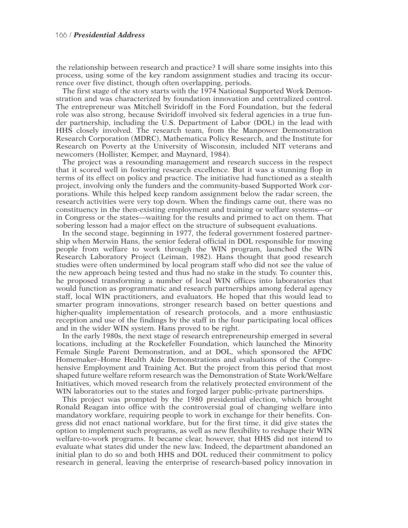the relationship between research and practice? I will share some insights into this process, using some of the key random assignment studies and tracing its occurrence over five distinct, though often overlapping, periods.

The first stage of the story starts with the 1974 National Supported Work Demonstration and was characterized by foundation innovation and centralized control. The entrepreneur was Mitchell Sviridoff in the Ford Foundation, but the federal role was also strong, because Sviridoff involved six federal agencies in a true funder partnership, including the U.S. Department of Labor (DOL) in the lead with HHS closely involved. The research team, from the Manpower Demonstration Research Corporation (MDRC), Mathematica Policy Research, and the Institute for Research on Poverty at the University of Wisconsin, included NIT veterans and newcomers (Hollister, Kemper, and Maynard, 1984).

The project was a resounding management and research success in the respect that it scored well in fostering research excellence. But it was a stunning flop in terms of its effect on policy and practice. The initiative had functioned as a stealth project, involving only the funders and the community-based Supported Work corporations. While this helped keep random assignment below the radar screen, the research activities were very top down. When the findings came out, there was no constituency in the then-existing employment and training or welfare systems—or in Congress or the states—waiting for the results and primed to act on them. That sobering lesson had a major effect on the structure of subsequent evaluations.

In the second stage, beginning in 1977, the federal government fostered partnership when Merwin Hans, the senior federal official in DOL responsible for moving people from welfare to work through the WIN program, launched the WIN Research Laboratory Project (Leiman, 1982). Hans thought that good research studies were often undermined by local program staff who did not see the value of the new approach being tested and thus had no stake in the study. To counter this, he proposed transforming a number of local WIN offices into laboratories that would function as programmatic and research partnerships among federal agency staff, local WIN practitioners, and evaluators. He hoped that this would lead to smarter program innovations, stronger research based on better questions and higher-quality implementation of research protocols, and a more enthusiastic reception and use of the findings by the staff in the four participating local offices and in the wider WIN system. Hans proved to be right.

In the early 1980s, the next stage of research entrepreneurship emerged in several locations, including at the Rockefeller Foundation, which launched the Minority Female Single Parent Demonstration, and at DOL, which sponsored the AFDC Homemaker–Home Health Aide Demonstrations and evaluations of the Comprehensive Employment and Training Act. But the project from this period that most shaped future welfare reform research was the Demonstration of State Work/Welfare Initiatives, which moved research from the relatively protected environment of the WIN laboratories out to the states and forged larger public-private partnerships.

This project was prompted by the 1980 presidential election, which brought Ronald Reagan into office with the controversial goal of changing welfare into mandatory workfare, requiring people to work in exchange for their benefits. Congress did not enact national workfare, but for the first time, it did give states the option to implement such programs, as well as new flexibility to reshape their WIN welfare-to-work programs. It became clear, however, that HHS did not intend to evaluate what states did under the new law. Indeed, the department abandoned an initial plan to do so and both HHS and DOL reduced their commitment to policy research in general, leaving the enterprise of research-based policy innovation in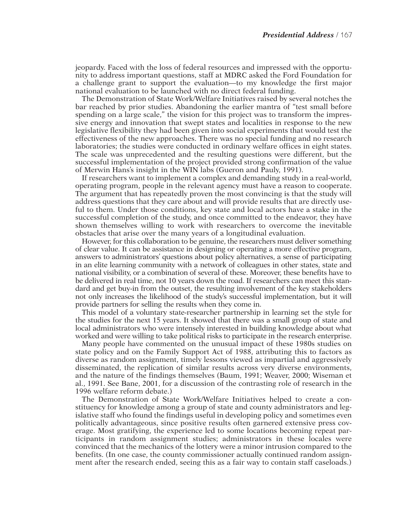jeopardy. Faced with the loss of federal resources and impressed with the opportunity to address important questions, staff at MDRC asked the Ford Foundation for a challenge grant to support the evaluation—to my knowledge the first major national evaluation to be launched with no direct federal funding.

The Demonstration of State Work/Welfare Initiatives raised by several notches the bar reached by prior studies. Abandoning the earlier mantra of "test small before spending on a large scale," the vision for this project was to transform the impressive energy and innovation that swept states and localities in response to the new legislative flexibility they had been given into social experiments that would test the effectiveness of the new approaches. There was no special funding and no research laboratories; the studies were conducted in ordinary welfare offices in eight states. The scale was unprecedented and the resulting questions were different, but the successful implementation of the project provided strong confirmation of the value of Merwin Hans's insight in the WIN labs (Gueron and Pauly, 1991).

If researchers want to implement a complex and demanding study in a real-world, operating program, people in the relevant agency must have a reason to cooperate. The argument that has repeatedly proven the most convincing is that the study will address questions that they care about and will provide results that are directly useful to them. Under those conditions, key state and local actors have a stake in the successful completion of the study, and once committed to the endeavor, they have shown themselves willing to work with researchers to overcome the inevitable obstacles that arise over the many years of a longitudinal evaluation.

However, for this collaboration to be genuine, the researchers must deliver something of clear value. It can be assistance in designing or operating a more effective program, answers to administrators' questions about policy alternatives, a sense of participating in an elite learning community with a network of colleagues in other states, state and national visibility, or a combination of several of these. Moreover, these benefits have to be delivered in real time, not 10 years down the road. If researchers can meet this standard and get buy-in from the outset, the resulting involvement of the key stakeholders not only increases the likelihood of the study's successful implementation, but it will provide partners for selling the results when they come in.

This model of a voluntary state-researcher partnership in learning set the style for the studies for the next 15 years. It showed that there was a small group of state and local administrators who were intensely interested in building knowledge about what worked and were willing to take political risks to participate in the research enterprise.

Many people have commented on the unusual impact of these 1980s studies on state policy and on the Family Support Act of 1988, attributing this to factors as diverse as random assignment, timely lessons viewed as impartial and aggressively disseminated, the replication of similar results across very diverse environments, and the nature of the findings themselves (Baum, 1991; Weaver, 2000; Wiseman et al., 1991. See Bane, 2001, for a discussion of the contrasting role of research in the 1996 welfare reform debate.)

The Demonstration of State Work/Welfare Initiatives helped to create a constituency for knowledge among a group of state and county administrators and legislative staff who found the findings useful in developing policy and sometimes even politically advantageous, since positive results often garnered extensive press coverage. Most gratifying, the experience led to some locations becoming repeat participants in random assignment studies; administrators in these locales were convinced that the mechanics of the lottery were a minor intrusion compared to the benefits. (In one case, the county commissioner actually continued random assignment after the research ended, seeing this as a fair way to contain staff caseloads.)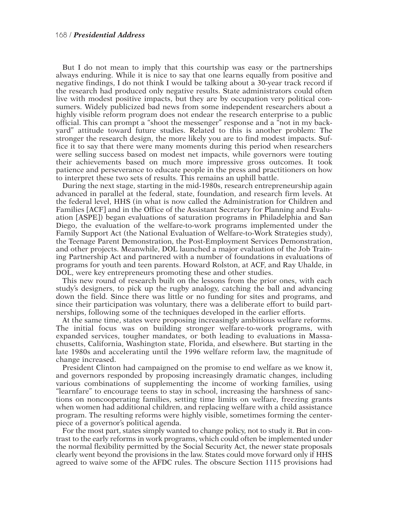But I do not mean to imply that this courtship was easy or the partnerships always enduring. While it is nice to say that one learns equally from positive and negative findings, I do not think I would be talking about a 30-year track record if the research had produced only negative results. State administrators could often live with modest positive impacts, but they are by occupation very political consumers. Widely publicized bad news from some independent researchers about a highly visible reform program does not endear the research enterprise to a public official. This can prompt a "shoot the messenger" response and a "not in my backyard" attitude toward future studies. Related to this is another problem: The stronger the research design, the more likely you are to find modest impacts. Suffice it to say that there were many moments during this period when researchers were selling success based on modest net impacts, while governors were touting their achievements based on much more impressive gross outcomes. It took patience and perseverance to educate people in the press and practitioners on how to interpret these two sets of results. This remains an uphill battle.

During the next stage, starting in the mid-1980s, research entrepreneurship again advanced in parallel at the federal, state, foundation, and research firm levels. At the federal level, HHS (in what is now called the Administration for Children and Families [ACF] and in the Office of the Assistant Secretary for Planning and Evaluation [ASPE]) began evaluations of saturation programs in Philadelphia and San Diego, the evaluation of the welfare-to-work programs implemented under the Family Support Act (the National Evaluation of Welfare-to-Work Strategies study), the Teenage Parent Demonstration, the Post-Employment Services Demonstration, and other projects. Meanwhile, DOL launched a major evaluation of the Job Training Partnership Act and partnered with a number of foundations in evaluations of programs for youth and teen parents. Howard Rolston, at ACF, and Ray Uhalde, in DOL, were key entrepreneurs promoting these and other studies.

This new round of research built on the lessons from the prior ones, with each study's designers, to pick up the rugby analogy, catching the ball and advancing down the field. Since there was little or no funding for sites and programs, and since their participation was voluntary, there was a deliberate effort to build partnerships, following some of the techniques developed in the earlier efforts.

At the same time, states were proposing increasingly ambitious welfare reforms. The initial focus was on building stronger welfare-to-work programs, with expanded services, tougher mandates, or both leading to evaluations in Massachusetts, California, Washington state, Florida, and elsewhere. But starting in the late 1980s and accelerating until the 1996 welfare reform law, the magnitude of change increased.

President Clinton had campaigned on the promise to end welfare as we know it, and governors responded by proposing increasingly dramatic changes, including various combinations of supplementing the income of working families, using "learnfare" to encourage teens to stay in school, increasing the harshness of sanctions on noncooperating families, setting time limits on welfare, freezing grants when women had additional children, and replacing welfare with a child assistance program. The resulting reforms were highly visible, sometimes forming the centerpiece of a governor's political agenda.

For the most part, states simply wanted to change policy, not to study it. But in contrast to the early reforms in work programs, which could often be implemented under the normal flexibility permitted by the Social Security Act, the newer state proposals clearly went beyond the provisions in the law. States could move forward only if HHS agreed to waive some of the AFDC rules. The obscure Section 1115 provisions had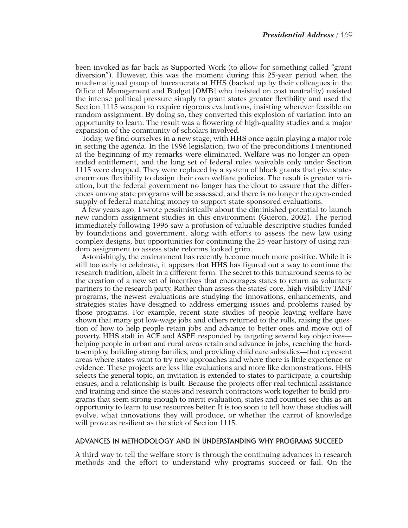been invoked as far back as Supported Work (to allow for something called "grant diversion"). However, this was the moment during this 25-year period when the much-maligned group of bureaucrats at HHS (backed up by their colleagues in the Office of Management and Budget [OMB] who insisted on cost neutrality) resisted the intense political pressure simply to grant states greater flexibility and used the Section 1115 weapon to require rigorous evaluations, insisting wherever feasible on random assignment. By doing so, they converted this explosion of variation into an opportunity to learn. The result was a flowering of high-quality studies and a major expansion of the community of scholars involved.

Today, we find ourselves in a new stage, with HHS once again playing a major role in setting the agenda. In the 1996 legislation, two of the preconditions I mentioned at the beginning of my remarks were eliminated. Welfare was no longer an openended entitlement, and the long set of federal rules waivable only under Section 1115 were dropped. They were replaced by a system of block grants that give states enormous flexibility to design their own welfare policies. The result is greater variation, but the federal government no longer has the clout to assure that the differences among state programs will be assessed, and there is no longer the open-ended supply of federal matching money to support state-sponsored evaluations.

A few years ago, I wrote pessimistically about the diminished potential to launch new random assignment studies in this environment (Gueron, 2002). The period immediately following 1996 saw a profusion of valuable descriptive studies funded by foundations and government, along with efforts to assess the new law using complex designs, but opportunities for continuing the 25-year history of using random assignment to assess state reforms looked grim.

Astonishingly, the environment has recently become much more positive. While it is still too early to celebrate, it appears that HHS has figured out a way to continue the research tradition, albeit in a different form. The secret to this turnaround seems to be the creation of a new set of incentives that encourages states to return as voluntary partners to the research party. Rather than assess the states' core, high-visibility TANF programs, the newest evaluations are studying the innovations, enhancements, and strategies states have designed to address emerging issues and problems raised by those programs. For example, recent state studies of people leaving welfare have shown that many got low-wage jobs and others returned to the rolls, raising the question of how to help people retain jobs and advance to better ones and move out of poverty. HHS staff in ACF and ASPE responded by targeting several key objectives helping people in urban and rural areas retain and advance in jobs, reaching the hardto-employ, building strong families, and providing child care subsidies—that represent areas where states want to try new approaches and where there is little experience or evidence. These projects are less like evaluations and more like demonstrations. HHS selects the general topic, an invitation is extended to states to participate, a courtship ensues, and a relationship is built. Because the projects offer real technical assistance and training and since the states and research contractors work together to build programs that seem strong enough to merit evaluation, states and counties see this as an opportunity to learn to use resources better. It is too soon to tell how these studies will evolve, what innovations they will produce, or whether the carrot of knowledge will prove as resilient as the stick of Section 1115.

# **ADVANCES IN METHODOLOGY AND IN UNDERSTANDING WHY PROGRAMS SUCCEED**

A third way to tell the welfare story is through the continuing advances in research methods and the effort to understand why programs succeed or fail. On the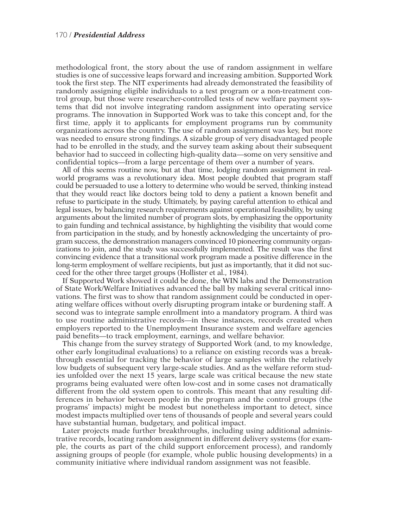methodological front, the story about the use of random assignment in welfare studies is one of successive leaps forward and increasing ambition. Supported Work took the first step. The NIT experiments had already demonstrated the feasibility of randomly assigning eligible individuals to a test program or a non-treatment control group, but those were researcher-controlled tests of new welfare payment systems that did not involve integrating random assignment into operating service programs. The innovation in Supported Work was to take this concept and, for the first time, apply it to applicants for employment programs run by community organizations across the country. The use of random assignment was key, but more was needed to ensure strong findings. A sizable group of very disadvantaged people had to be enrolled in the study, and the survey team asking about their subsequent behavior had to succeed in collecting high-quality data—some on very sensitive and confidential topics—from a large percentage of them over a number of years.

All of this seems routine now, but at that time, lodging random assignment in realworld programs was a revolutionary idea. Most people doubted that program staff could be persuaded to use a lottery to determine who would be served, thinking instead that they would react like doctors being told to deny a patient a known benefit and refuse to participate in the study. Ultimately, by paying careful attention to ethical and legal issues, by balancing research requirements against operational feasibility, by using arguments about the limited number of program slots, by emphasizing the opportunity to gain funding and technical assistance, by highlighting the visibility that would come from participation in the study, and by honestly acknowledging the uncertainty of program success, the demonstration managers convinced 10 pioneering community organizations to join, and the study was successfully implemented. The result was the first convincing evidence that a transitional work program made a positive difference in the long-term employment of welfare recipients, but just as importantly, that it did not succeed for the other three target groups (Hollister et al., 1984).

If Supported Work showed it could be done, the WIN labs and the Demonstration of State Work/Welfare Initiatives advanced the ball by making several critical innovations. The first was to show that random assignment could be conducted in operating welfare offices without overly disrupting program intake or burdening staff. A second was to integrate sample enrollment into a mandatory program. A third was to use routine administrative records—in these instances, records created when employers reported to the Unemployment Insurance system and welfare agencies paid benefits—to track employment, earnings, and welfare behavior.

This change from the survey strategy of Supported Work (and, to my knowledge, other early longitudinal evaluations) to a reliance on existing records was a breakthrough essential for tracking the behavior of large samples within the relatively low budgets of subsequent very large-scale studies. And as the welfare reform studies unfolded over the next 15 years, large scale was critical because the new state programs being evaluated were often low-cost and in some cases not dramatically different from the old system open to controls. This meant that any resulting differences in behavior between people in the program and the control groups (the programs' impacts) might be modest but nonetheless important to detect, since modest impacts multiplied over tens of thousands of people and several years could have substantial human, budgetary, and political impact.

Later projects made further breakthroughs, including using additional administrative records, locating random assignment in different delivery systems (for example, the courts as part of the child support enforcement process), and randomly assigning groups of people (for example, whole public housing developments) in a community initiative where individual random assignment was not feasible.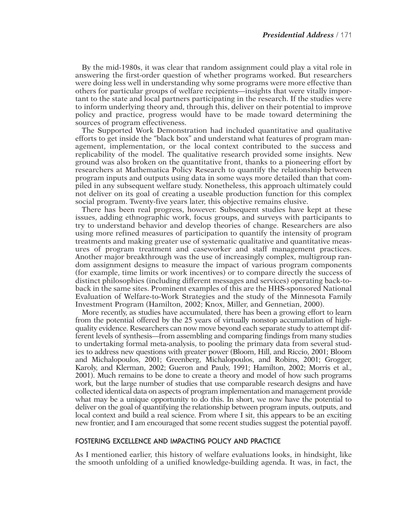By the mid-1980s, it was clear that random assignment could play a vital role in answering the first-order question of whether programs worked. But researchers were doing less well in understanding why some programs were more effective than others for particular groups of welfare recipients—insights that were vitally important to the state and local partners participating in the research. If the studies were to inform underlying theory and, through this, deliver on their potential to improve policy and practice, progress would have to be made toward determining the sources of program effectiveness.

The Supported Work Demonstration had included quantitative and qualitative efforts to get inside the "black box" and understand what features of program management, implementation, or the local context contributed to the success and replicability of the model. The qualitative research provided some insights. New ground was also broken on the quantitative front, thanks to a pioneering effort by researchers at Mathematica Policy Research to quantify the relationship between program inputs and outputs using data in some ways more detailed than that compiled in any subsequent welfare study. Nonetheless, this approach ultimately could not deliver on its goal of creating a useable production function for this complex social program. Twenty-five years later, this objective remains elusive.

There has been real progress, however. Subsequent studies have kept at these issues, adding ethnographic work, focus groups, and surveys with participants to try to understand behavior and develop theories of change. Researchers are also using more refined measures of participation to quantify the intensity of program treatments and making greater use of systematic qualitative and quantitative measures of program treatment and caseworker and staff management practices. Another major breakthrough was the use of increasingly complex, multigroup random assignment designs to measure the impact of various program components (for example, time limits or work incentives) or to compare directly the success of distinct philosophies (including different messages and services) operating back-toback in the same sites. Prominent examples of this are the HHS-sponsored National Evaluation of Welfare-to-Work Strategies and the study of the Minnesota Family Investment Program (Hamilton, 2002; Knox, Miller, and Gennetian, 2000).

More recently, as studies have accumulated, there has been a growing effort to learn from the potential offered by the 25 years of virtually nonstop accumulation of highquality evidence. Researchers can now move beyond each separate study to attempt different levels of synthesis—from assembling and comparing findings from many studies to undertaking formal meta-analysis, to pooling the primary data from several studies to address new questions with greater power (Bloom, Hill, and Riccio, 2001; Bloom and Michalopoulos, 2001; Greenberg, Michalopoulos, and Robins, 2001; Grogger, Karoly, and Klerman, 2002; Gueron and Pauly, 1991; Hamilton, 2002; Morris et al., 2001). Much remains to be done to create a theory and model of how such programs work, but the large number of studies that use comparable research designs and have collected identical data on aspects of program implementation and management provide what may be a unique opportunity to do this. In short, we now have the potential to deliver on the goal of quantifying the relationship between program inputs, outputs, and local context and build a real science. From where I sit, this appears to be an exciting new frontier, and I am encouraged that some recent studies suggest the potential payoff.

### **FOSTERING EXCELLENCE AND IMPACTING POLICY AND PRACTICE**

As I mentioned earlier, this history of welfare evaluations looks, in hindsight, like the smooth unfolding of a unified knowledge-building agenda. It was, in fact, the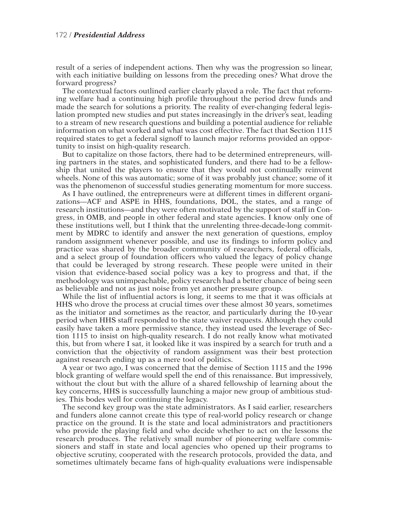result of a series of independent actions. Then why was the progression so linear, with each initiative building on lessons from the preceding ones? What drove the forward progress?

The contextual factors outlined earlier clearly played a role. The fact that reforming welfare had a continuing high profile throughout the period drew funds and made the search for solutions a priority. The reality of ever-changing federal legislation prompted new studies and put states increasingly in the driver's seat, leading to a stream of new research questions and building a potential audience for reliable information on what worked and what was cost effective. The fact that Section 1115 required states to get a federal signoff to launch major reforms provided an opportunity to insist on high-quality research.

But to capitalize on those factors, there had to be determined entrepreneurs, willing partners in the states, and sophisticated funders, and there had to be a fellowship that united the players to ensure that they would not continually reinvent wheels. None of this was automatic; some of it was probably just chance; some of it was the phenomenon of successful studies generating momentum for more success.

As I have outlined, the entrepreneurs were at different times in different organizations—ACF and ASPE in HHS, foundations, DOL, the states, and a range of research institutions—and they were often motivated by the support of staff in Congress, in OMB, and people in other federal and state agencies. I know only one of these institutions well, but I think that the unrelenting three-decade-long commitment by MDRC to identify and answer the next generation of questions, employ random assignment whenever possible, and use its findings to inform policy and practice was shared by the broader community of researchers, federal officials, and a select group of foundation officers who valued the legacy of policy change that could be leveraged by strong research. These people were united in their vision that evidence-based social policy was a key to progress and that, if the methodology was unimpeachable, policy research had a better chance of being seen as believable and not as just noise from yet another pressure group.

While the list of influential actors is long, it seems to me that it was officials at HHS who drove the process at crucial times over these almost 30 years, sometimes as the initiator and sometimes as the reactor, and particularly during the 10-year period when HHS staff responded to the state waiver requests. Although they could easily have taken a more permissive stance, they instead used the leverage of Section 1115 to insist on high-quality research. I do not really know what motivated this, but from where I sat, it looked like it was inspired by a search for truth and a conviction that the objectivity of random assignment was their best protection against research ending up as a mere tool of politics.

A year or two ago, I was concerned that the demise of Section 1115 and the 1996 block granting of welfare would spell the end of this renaissance. But impressively, without the clout but with the allure of a shared fellowship of learning about the key concerns, HHS is successfully launching a major new group of ambitious studies. This bodes well for continuing the legacy.

The second key group was the state administrators. As I said earlier, researchers and funders alone cannot create this type of real-world policy research or change practice on the ground. It is the state and local administrators and practitioners who provide the playing field and who decide whether to act on the lessons the research produces. The relatively small number of pioneering welfare commissioners and staff in state and local agencies who opened up their programs to objective scrutiny, cooperated with the research protocols, provided the data, and sometimes ultimately became fans of high-quality evaluations were indispensable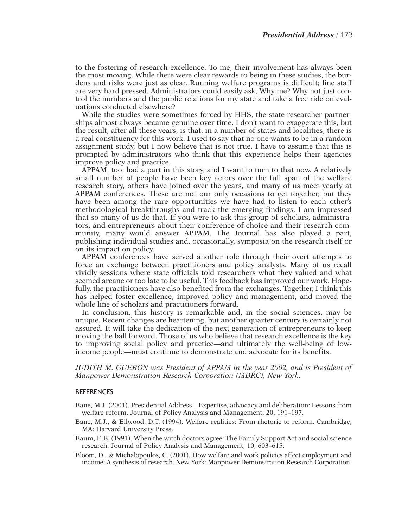to the fostering of research excellence. To me, their involvement has always been the most moving. While there were clear rewards to being in these studies, the burdens and risks were just as clear. Running welfare programs is difficult; line staff are very hard pressed. Administrators could easily ask, Why me? Why not just control the numbers and the public relations for my state and take a free ride on evaluations conducted elsewhere?

While the studies were sometimes forced by HHS, the state-researcher partnerships almost always became genuine over time. I don't want to exaggerate this, but the result, after all these years, is that, in a number of states and localities, there is a real constituency for this work. I used to say that no one wants to be in a random assignment study, but I now believe that is not true. I have to assume that this is prompted by administrators who think that this experience helps their agencies improve policy and practice.

APPAM, too, had a part in this story, and I want to turn to that now. A relatively small number of people have been key actors over the full span of the welfare research story, others have joined over the years, and many of us meet yearly at APPAM conferences. These are not our only occasions to get together, but they have been among the rare opportunities we have had to listen to each other's methodological breakthroughs and track the emerging findings. I am impressed that so many of us do that. If you were to ask this group of scholars, administrators, and entrepreneurs about their conference of choice and their research community, many would answer APPAM. The Journal has also played a part, publishing individual studies and, occasionally, symposia on the research itself or on its impact on policy.

APPAM conferences have served another role through their overt attempts to force an exchange between practitioners and policy analysts. Many of us recall vividly sessions where state officials told researchers what they valued and what seemed arcane or too late to be useful. This feedback has improved our work. Hopefully, the practitioners have also benefited from the exchanges. Together, I think this has helped foster excellence, improved policy and management, and moved the whole line of scholars and practitioners forward.

In conclusion, this history is remarkable and, in the social sciences, may be unique. Recent changes are heartening, but another quarter century is certainly not assured. It will take the dedication of the next generation of entrepreneurs to keep moving the ball forward. Those of us who believe that research excellence is the key to improving social policy and practice—and ultimately the well-being of lowincome people—must continue to demonstrate and advocate for its benefits.

*JUDITH M. GUERON was President of APPAM in the year 2002, and is President of Manpower Demonstration Research Corporation (MDRC), New York.*

### **REFERENCES**

- Bane, M.J. (2001). Presidential Address—Expertise, advocacy and deliberation: Lessons from welfare reform. Journal of Policy Analysis and Management, 20, 191–197.
- Bane, M.J., & Ellwood, D.T. (1994). Welfare realities: From rhetoric to reform. Cambridge, MA: Harvard University Press.
- Baum, E.B. (1991). When the witch doctors agree: The Family Support Act and social science research. Journal of Policy Analysis and Management, 10, 603–615.
- Bloom, D., & Michalopoulos, C. (2001). How welfare and work policies affect employment and income: A synthesis of research. New York: Manpower Demonstration Research Corporation.